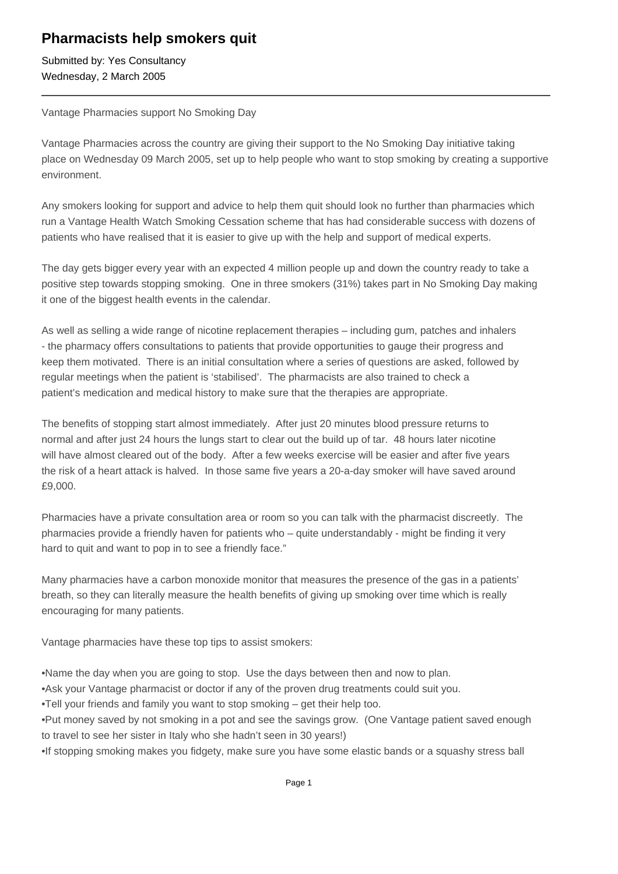## **Pharmacists help smokers quit**

Submitted by: Yes Consultancy Wednesday, 2 March 2005

Vantage Pharmacies support No Smoking Day

Vantage Pharmacies across the country are giving their support to the No Smoking Day initiative taking place on Wednesday 09 March 2005, set up to help people who want to stop smoking by creating a supportive environment.

Any smokers looking for support and advice to help them quit should look no further than pharmacies which run a Vantage Health Watch Smoking Cessation scheme that has had considerable success with dozens of patients who have realised that it is easier to give up with the help and support of medical experts.

The day gets bigger every year with an expected 4 million people up and down the country ready to take a positive step towards stopping smoking. One in three smokers (31%) takes part in No Smoking Day making it one of the biggest health events in the calendar.

As well as selling a wide range of nicotine replacement therapies – including gum, patches and inhalers - the pharmacy offers consultations to patients that provide opportunities to gauge their progress and keep them motivated. There is an initial consultation where a series of questions are asked, followed by regular meetings when the patient is 'stabilised'. The pharmacists are also trained to check a patient's medication and medical history to make sure that the therapies are appropriate.

The benefits of stopping start almost immediately. After just 20 minutes blood pressure returns to normal and after just 24 hours the lungs start to clear out the build up of tar. 48 hours later nicotine will have almost cleared out of the body. After a few weeks exercise will be easier and after five years the risk of a heart attack is halved. In those same five years a 20-a-day smoker will have saved around £9,000.

Pharmacies have a private consultation area or room so you can talk with the pharmacist discreetly. The pharmacies provide a friendly haven for patients who – quite understandably - might be finding it very hard to quit and want to pop in to see a friendly face."

Many pharmacies have a carbon monoxide monitor that measures the presence of the gas in a patients' breath, so they can literally measure the health benefits of giving up smoking over time which is really encouraging for many patients.

Vantage pharmacies have these top tips to assist smokers:

- Name the day when you are going to stop. Use the days between then and now to plan.
- • Ask your Vantage pharmacist or doctor if any of the proven drug treatments could suit you.
- Tell your friends and family you want to stop smoking get their help too.
- Put money saved by not smoking in a pot and see the savings grow. (One Vantage patient saved enough to travel to see her sister in Italy who she hadn't seen in 30 years!)
- • If stopping smoking makes you fidgety, make sure you have some elastic bands or a squashy stress ball